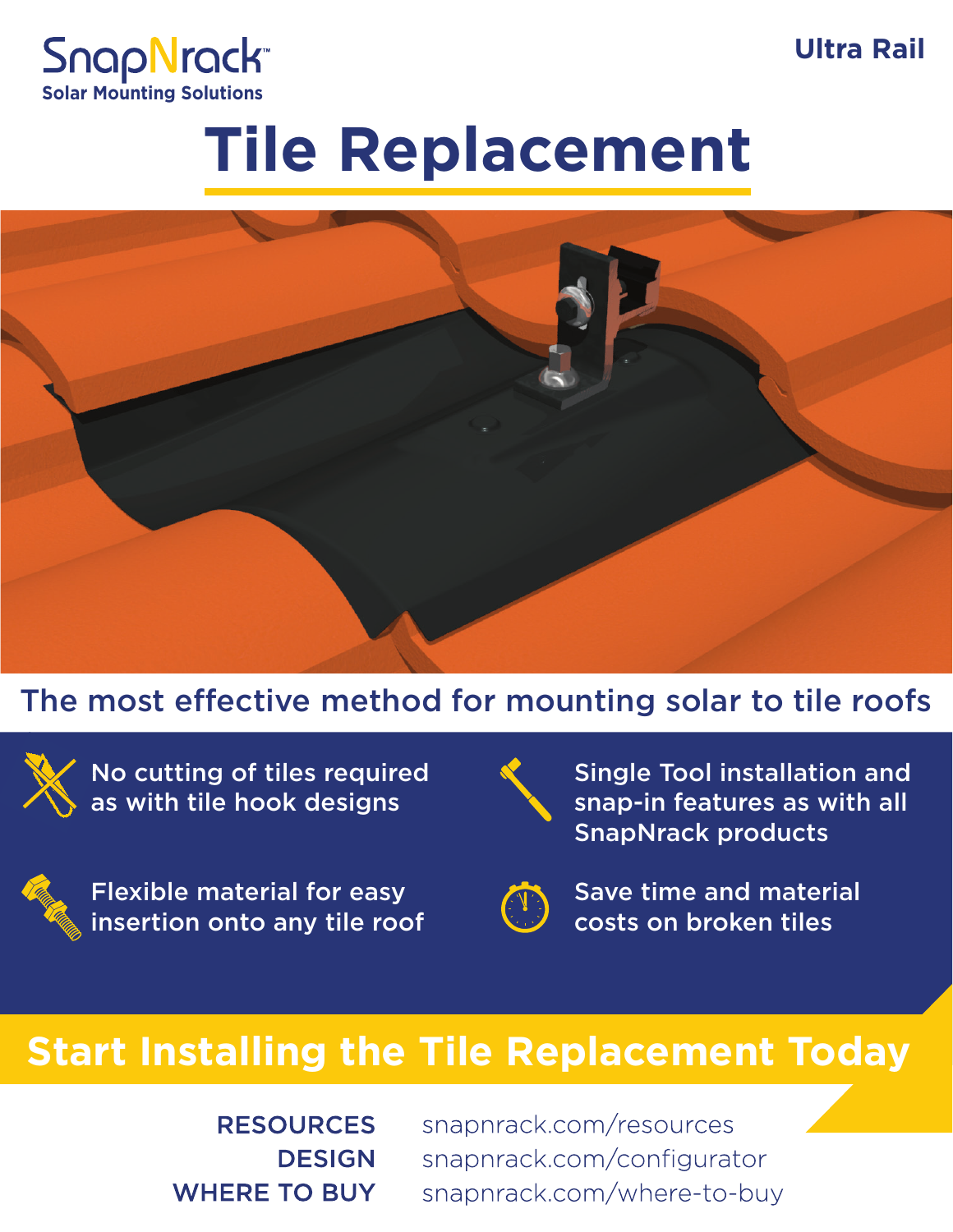**snapnrack.com Ultra Rail**



## **Tile Replacement**



#### The most effective method for mounting solar to tile roofs



No cutting of tiles required as with tile hook designs



Flexible material for easy insertion onto any tile roof



Single Tool installation and snap-in features as with all SnapNrack products



Save time and material costs on broken tiles

## **Start Installing the Tile Replacement Today**

**RESOURCES DESIGN WHERE TO BUY**  snapnrack.com/resources snapnrack.com/configurator snapnrack.com/where-to-buy